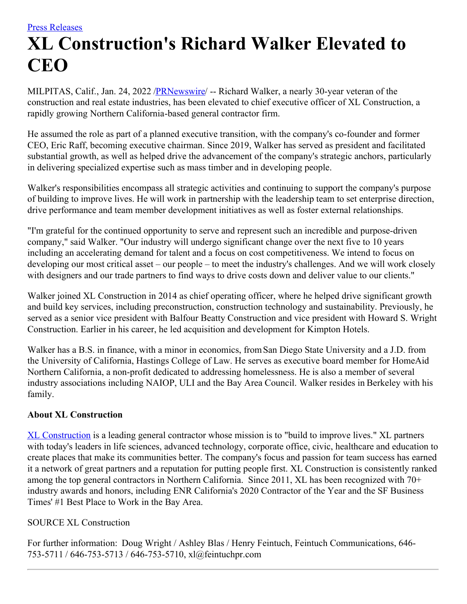## **XL Construction's Richard Walker Elevated to CEO**

MILPITAS, Calif., Jan. 24, 2022 /**PRNewswire/** -- Richard Walker, a nearly 30-year veteran of the construction and real estate industries, has been elevated to chief executive officer of XL Construction, a rapidly growing Northern California-based general contractor firm.

He assumed the role as part of a planned executive transition, with the company's co-founder and former CEO, Eric Raff, becoming executive chairman. Since 2019, Walker has served as president and facilitated substantial growth, as well as helped drive the advancement of the company's strategic anchors, particularly in delivering specialized expertise such as mass timber and in developing people.

Walker's responsibilities encompass all strategic activities and continuing to support the company's purpose of building to improve lives. He will work in partnership with the leadership team to set enterprise direction, drive performance and team member development initiatives as well as foster external relationships.

"I'm grateful for the continued opportunity to serve and represent such an incredible and purpose-driven company," said Walker. "Our industry will undergo significant change over the next five to 10 years including an accelerating demand for talent and a focus on cost competitiveness. We intend to focus on developing our most critical asset – our people – to meet the industry's challenges. And we will work closely with designers and our trade partners to find ways to drive costs down and deliver value to our clients."

Walker joined XL Construction in 2014 as chief operating officer, where he helped drive significant growth and build key services, including preconstruction, construction technology and sustainability. Previously, he served as a senior vice president with Balfour Beatty Construction and vice president with Howard S. Wright Construction. Earlier in his career, he led acquisition and development for Kimpton Hotels.

Walker has a B.S. in finance, with a minor in economics, fromSan Diego State University and a J.D. from the University of California, Hastings College of Law. He serves as executive board member for HomeAid Northern California, a non-profit dedicated to addressing homelessness. He is also a member of several industry associations including NAIOP, ULI and the Bay Area Council. Walker resides in Berkeley with his family.

## **About XL Construction**

XL [Construction](https://c212.net/c/link/?t=0&l=en&o=3420356-1&h=4213196744&u=https%3A%2F%2Fc212.net%2Fc%2Flink%2F%3Ft%3D0%26l%3Den%26o%3D3140978-1%26h%3D2453123174%26u%3Dhttps%253A%252F%252Fwww.xlconstruction.com%252F%26a%3DXL%2BConstruction&a=XL+Construction) is a leading general contractor whose mission is to "build to improve lives." XL partners with today's leaders in life sciences, advanced technology, corporate office, civic, healthcare and education to create places that make its communities better. The company's focus and passion for team success has earned it a network of great partners and a reputation for putting people first. XL Construction is consistently ranked among the top general contractors in Northern California. Since 2011, XL has been recognized with 70+ industry awards and honors, including ENR California's 2020 Contractor of the Year and the SF Business Times' #1 Best Place to Work in the Bay Area.

## SOURCE XL Construction

For further information: Doug Wright / Ashley Blas / Henry Feintuch, Feintuch Communications, 646- 753-5711 / 646-753-5713 / 646-753-5710, xl@feintuchpr.com